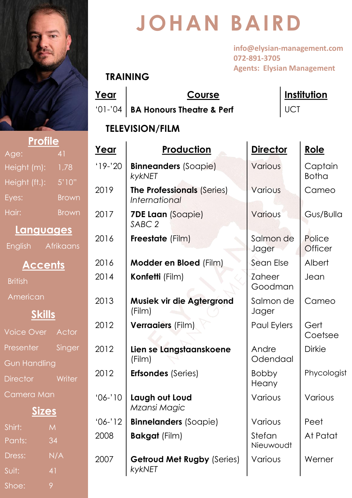

Age: 41

Height (m): 1,78

Height (ft.): 5'10"

Eyes: Brow

Hair: **Brow** 

**British** 

American

**Languages**

English Afrikaan

**Accents**

**Skills**

Voice Over Actor

Presenter Singe

Director Writer

Gun Handling

Camera Man

Shirt: M

Pants: 34

Suit: 41

Shoe: 9

Dress: N/A

**Sizes**

# **JOHAN BAIRD**

**info@elysian-management.com 072-891-3705 Agents: Elysian Management**

#### **TRAINING**

**Year Course Institution** '01-'04 **BA Honours Theatre & Perf** UCT

#### **TELEVISION/FILM**

|   | Year      | <b>Production</b>                                                | <b>Director</b>          | Role                     |
|---|-----------|------------------------------------------------------------------|--------------------------|--------------------------|
|   | $19 - 20$ | <b>Binneanders (Soapie)</b><br>kykNET                            | Various                  | Captain<br><b>Botha</b>  |
| n | 2019      | The Professionals (Series)<br><i><u><b>International</b></u></i> | Various                  | Cameo                    |
| n | 2017      | <b>7DE Laan</b> (Soapie)<br>SABC <sub>2</sub>                    | Various                  | Gus/Bulla                |
| Š | 2016      | <b>Freestate</b> (Film)                                          | Salmon de<br>Jager       | Police<br><b>Officer</b> |
|   | 2016      | <b>Modder en Bloed (Film)</b>                                    | Sean Else                | Albert                   |
|   | 2014      | Konfetti (Film)                                                  | <b>Zaheer</b><br>Goodman | Jean                     |
|   | 2013      | Musiek vir die Agtergrond<br>(Film)                              | Salmon de<br>Jager       | Cameo                    |
|   | 2012      | <b>Verraaiers (Film)</b>                                         | Paul Eylers              | Gert<br>Coetsee          |
| r | 2012      | Lien se Langstaanskoene<br>(Film)                                | Andre<br>Odendaal        | <b>Dirkie</b>            |
|   | 2012      | <b>Erfsondes (Series)</b>                                        | <b>Bobby</b><br>Heany    | Phycologist              |
|   | $'06-'10$ | Laugh out Loud<br>Mzansi Magic                                   | Various                  | Various                  |
|   | $'06-'12$ | <b>Binnelanders (Soapie)</b>                                     | Various                  | Peet                     |
|   | 2008      | <b>Bakgat</b> (Film)                                             | Stefan<br>Nieuwoudt      | At Patat                 |
|   | 2007      | <b>Getroud Met Rugby (Series)</b><br>kykNET                      | Various                  | Werner                   |